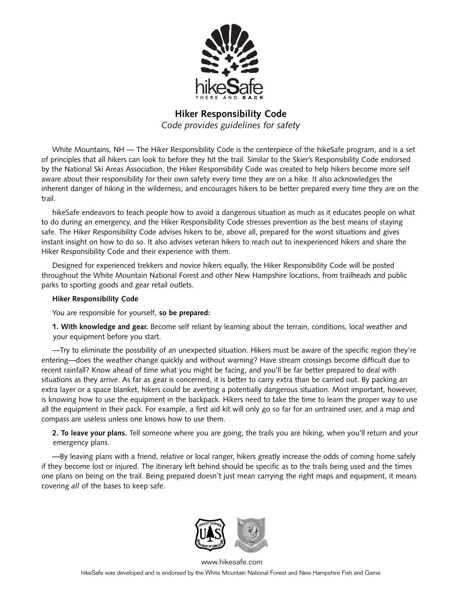

## **Hiker Responsibility Code**

*Code provides guidelines for safety*

White Mountains, NH — The Hiker Responsibility Code is the centerpiece of the hikeSafe program, and is a set of principles that all hikers can look to before they hit the trail. Similar to the Skier's Responsibility Code endorsed by the National Ski Areas Association, the Hiker Responsibility Code was created to help hikers become more self aware about their responsibility for their own safety every time they are on a hike. It also acknowledges the inherent danger of hiking in the wilderness, and encourages hikers to be better prepared every time they are on the trail.

hikeSafe endeavors to teach people how to avoid a dangerous situation as much as it educates people on what to do during an emergency, and the Hiker Responsibility Code stresses prevention as the best means of staying safe. The Hiker Responsibility Code advises hikers to be, above all, prepared for the worst situations and gives instant insight on how to do so. It also advises veteran hikers to reach out to inexperienced hikers and share the Hiker Responsibility Code and their experience with them.

Designed for experienced trekkers and novice hikers equally, the Hiker Responsibility Code will be posted throughout the White Mountain National Forest and other New Hampshire locations, from trailheads and public parks to sporting goods and gear retail outlets.

## **Hiker Responsibility Code**

You are responsible for yourself, **so be prepared:**

**1. With knowledge and gear.** Become self reliant by learning about the terrain, conditions, local weather and your equipment before you start.

—Try to eliminate the possibility of an unexpected situation. Hikers must be aware of the specific region they're entering—does the weather change quickly and without warning? Have stream crossings become difficult due to recent rainfall? Know ahead of time what you might be facing, and you'll be far better prepared to deal with situations as they arrive. As far as gear is concerned, it is better to carry extra than be carried out. By packing an extra layer or a space blanket, hikers could be averting a potentially dangerous situation. Most important, however, is knowing how to use the equipment in the backpack. Hikers need to take the time to learn the proper way to use all the equipment in their pack. For example, a first aid kit will only go so far for an untrained user, and a map and compass are useless unless one knows how to use them.

**2. To leave your plans.** Tell someone where you are going, the trails you are hiking, when you'll return and your emergency plans.

—By leaving plans with a friend, relative or local ranger, hikers greatly increase the odds of coming home safely if they become lost or injured. The itinerary left behind should be specific as to the trails being used and the times one plans on being on the trail. Being prepared doesn't just mean carrying the right maps and equipment, it means covering *all* of the bases to keep safe.